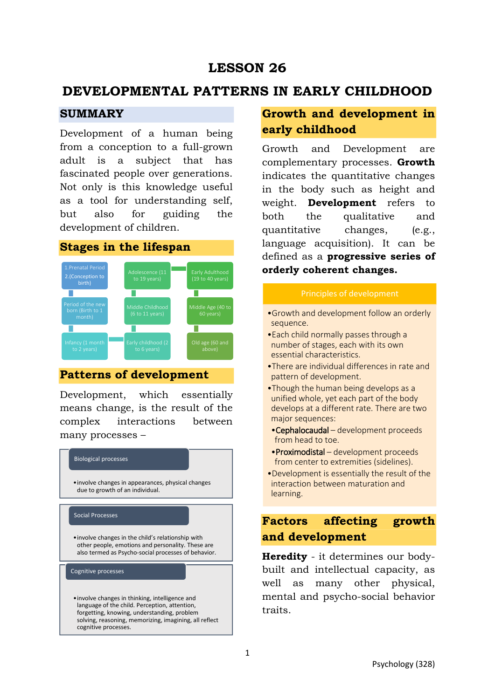# **LESSON 26**

# **DEVELOPMENTAL PATTERNS IN EARLY CHILDHOOD**

## **SUMMARY**

Development of a human being from a conception to a full-grown adult is a subject that has fascinated people over generations. Not only is this knowledge useful as a tool for understanding self, but also for guiding the development of children.

# **Stages in the lifespan**



## **Patterns of development**

Development, which essentially means change, is the result of the complex interactions between many processes –



# **Growth and development in early childhood**

Growth and Development are complementary processes. **Growth** indicates the quantitative changes in the body such as height and weight. **Development** refers to both the qualitative and quantitative changes, (e.g., language acquisition). It can be defined as a **progressive series of orderly coherent changes.** 

- •Growth and development follow an orderly sequence.
- •Each child normally passes through a number of stages, each with its own essential characteristics.
- •There are individual differences in rate and pattern of development.
- •Though the human being develops as a unified whole, yet each part of the body develops at a different rate. There are two major sequences:
- •Cephalocaudal development proceeds from head to toe.
- •Proximodistal development proceeds from center to extremities (sidelines).
- •Development is essentially the result of the interaction between maturation and learning.

# **Factors affecting growth and development**

**Heredity** - it determines our bodybuilt and intellectual capacity, as well as many other physical, mental and psycho-social behavior traits.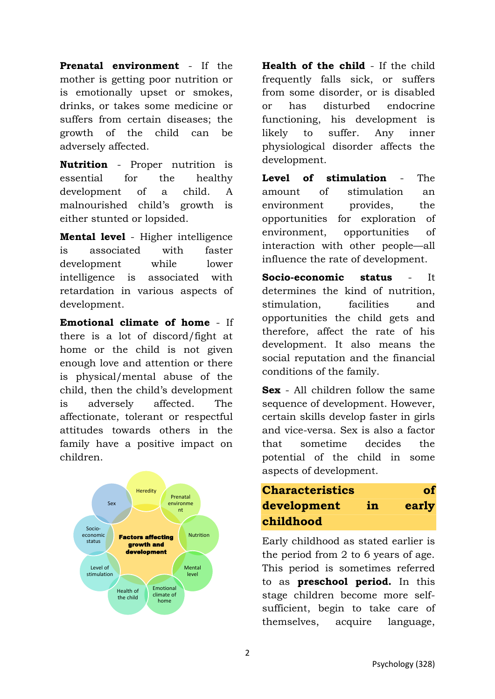**Prenatal environment** - If the mother is getting poor nutrition or is emotionally upset or smokes, drinks, or takes some medicine or suffers from certain diseases; the growth of the child can be adversely affected.

**Nutrition** - Proper nutrition is essential for the healthy development of a child. A malnourished child's growth is either stunted or lopsided.

**Mental level** - Higher intelligence is associated with faster development while lower intelligence is associated with retardation in various aspects of development.

**Emotional climate of home** - If there is a lot of discord/fight at home or the child is not given enough love and attention or there is physical/mental abuse of the child, then the child's development is adversely affected. The affectionate, tolerant or respectful attitudes towards others in the family have a positive impact on children.



**Health of the child** - If the child frequently falls sick, or suffers from some disorder, or is disabled or has disturbed endocrine functioning, his development is likely to suffer. Any inner physiological disorder affects the development.

**Level of stimulation** - The amount of stimulation an environment provides, the opportunities for exploration of environment, opportunities of interaction with other people—all influence the rate of development.

**Socio-economic status** - It determines the kind of nutrition, stimulation, facilities and opportunities the child gets and therefore, affect the rate of his development. It also means the social reputation and the financial conditions of the family.

**Sex** - All children follow the same sequence of development. However, certain skills develop faster in girls and vice-versa. Sex is also a factor that sometime decides the potential of the child in some aspects of development.

# **Characteristics of development in early childhood**

Early childhood as stated earlier is the period from 2 to 6 years of age. This period is sometimes referred to as **preschool period.** In this stage children become more selfsufficient, begin to take care of themselves, acquire language,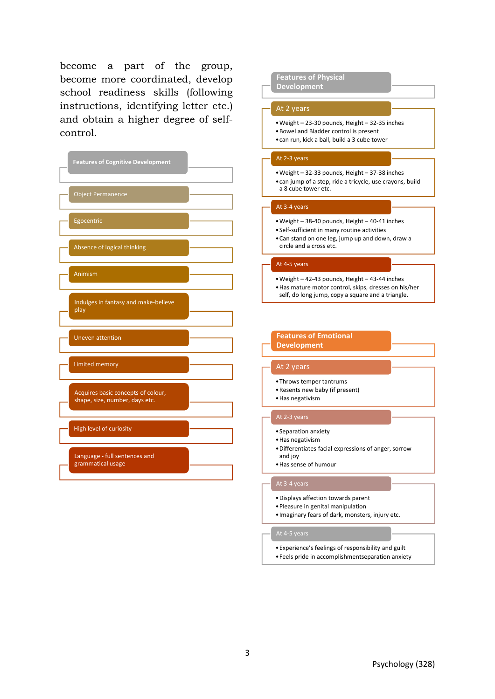become a part of the group, become more coordinated, develop school readiness skills (following instructions, identifying letter etc.) and obtain a higher degree of selfcontrol.

| <b>Features of Cognitive Development</b>                             |
|----------------------------------------------------------------------|
| <b>Object Permanence</b>                                             |
| Egocentric                                                           |
| Absence of logical thinking                                          |
| Animism                                                              |
| Indulges in fantasy and make-believe<br>play                         |
| <b>Uneven attention</b>                                              |
| <b>Limited memory</b>                                                |
| Acquires basic concepts of colour,<br>shape, size, number, days etc. |
| High level of curiosity                                              |
| Language - full sentences and<br>grammatical usage                   |

## **Features of Physical**

**Development**

## At 2 years

- •Weight 23-30 pounds, Height 32-35 inches •Bowel and Bladder control is present
- •can run, kick a ball, build a 3 cube tower

## At 2-3 years

- •Weight 32-33 pounds, Height 37-38 inches
	- •can jump of a step, ride a tricycle, use crayons, build a 8 cube tower etc.

### At 3-4 years

- •Weight 38-40 pounds, Height 40-41 inches
- •Self-sufficient in many routine activities
- •Can stand on one leg, jump up and down, draw a circle and a cross etc.

## At 4-5 years

- •Weight 42-43 pounds, Height 43-44 inches
- •Has mature motor control, skips, dresses on his/her
- self, do long jump, copy a square and a triangle.

## **Features of Emotional Development**

## At 2 years

- •Throws temper tantrums
- •Resents new baby (if present)
- •Has negativism

### At 2-3 years

- •Separation anxiety
- •Has negativism
- •Differentiates facial expressions of anger, sorrow and joy
- •Has sense of humour

- •Displays affection towards parent
- •Pleasure in genital manipulation
- •Imaginary fears of dark, monsters, injury etc.

- •Experience's feelings of responsibility and guilt
- •Feels pride in accomplishmentseparation anxiety